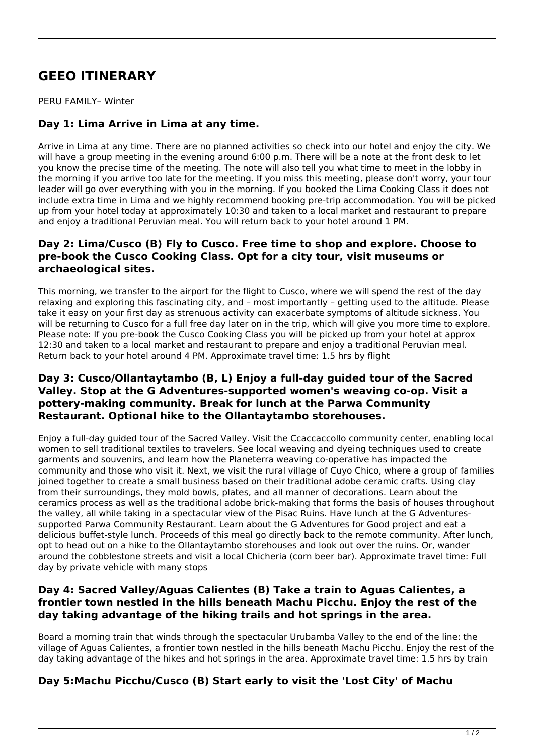# **GEEO ITINERARY**

PERU FAMILY– Winter

# **Day 1: Lima Arrive in Lima at any time.**

Arrive in Lima at any time. There are no planned activities so check into our hotel and enjoy the city. We will have a group meeting in the evening around 6:00 p.m. There will be a note at the front desk to let you know the precise time of the meeting. The note will also tell you what time to meet in the lobby in the morning if you arrive too late for the meeting. If you miss this meeting, please don't worry, your tour leader will go over everything with you in the morning. If you booked the Lima Cooking Class it does not include extra time in Lima and we highly recommend booking pre-trip accommodation. You will be picked up from your hotel today at approximately 10:30 and taken to a local market and restaurant to prepare and enjoy a traditional Peruvian meal. You will return back to your hotel around 1 PM.

#### **Day 2: Lima/Cusco (B) Fly to Cusco. Free time to shop and explore. Choose to pre-book the Cusco Cooking Class. Opt for a city tour, visit museums or archaeological sites.**

This morning, we transfer to the airport for the flight to Cusco, where we will spend the rest of the day relaxing and exploring this fascinating city, and – most importantly – getting used to the altitude. Please take it easy on your first day as strenuous activity can exacerbate symptoms of altitude sickness. You will be returning to Cusco for a full free day later on in the trip, which will give you more time to explore. Please note: If you pre-book the Cusco Cooking Class you will be picked up from your hotel at approx 12:30 and taken to a local market and restaurant to prepare and enjoy a traditional Peruvian meal. Return back to your hotel around 4 PM. Approximate travel time: 1.5 hrs by flight

#### **Day 3: Cusco/Ollantaytambo (B, L) Enjoy a full-day guided tour of the Sacred Valley. Stop at the G Adventures-supported women's weaving co-op. Visit a pottery-making community. Break for lunch at the Parwa Community Restaurant. Optional hike to the Ollantaytambo storehouses.**

Enjoy a full-day guided tour of the Sacred Valley. Visit the Ccaccaccollo community center, enabling local women to sell traditional textiles to travelers. See local weaving and dyeing techniques used to create garments and souvenirs, and learn how the Planeterra weaving co-operative has impacted the community and those who visit it. Next, we visit the rural village of Cuyo Chico, where a group of families joined together to create a small business based on their traditional adobe ceramic crafts. Using clay from their surroundings, they mold bowls, plates, and all manner of decorations. Learn about the ceramics process as well as the traditional adobe brick-making that forms the basis of houses throughout the valley, all while taking in a spectacular view of the Pisac Ruins. Have lunch at the G Adventuressupported Parwa Community Restaurant. Learn about the G Adventures for Good project and eat a delicious buffet-style lunch. Proceeds of this meal go directly back to the remote community. After lunch, opt to head out on a hike to the Ollantaytambo storehouses and look out over the ruins. Or, wander around the cobblestone streets and visit a local Chicheria (corn beer bar). Approximate travel time: Full day by private vehicle with many stops

## **Day 4: Sacred Valley/Aguas Calientes (B) Take a train to Aguas Calientes, a frontier town nestled in the hills beneath Machu Picchu. Enjoy the rest of the day taking advantage of the hiking trails and hot springs in the area.**

Board a morning train that winds through the spectacular Urubamba Valley to the end of the line: the village of Aguas Calientes, a frontier town nestled in the hills beneath Machu Picchu. Enjoy the rest of the day taking advantage of the hikes and hot springs in the area. Approximate travel time: 1.5 hrs by train

# **Day 5:Machu Picchu/Cusco (B) Start early to visit the 'Lost City' of Machu**